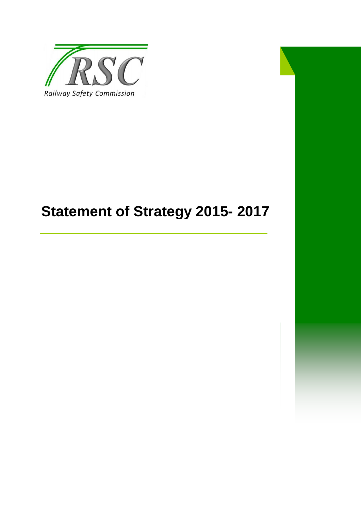

# **Statement of Strategy 2015- 2017**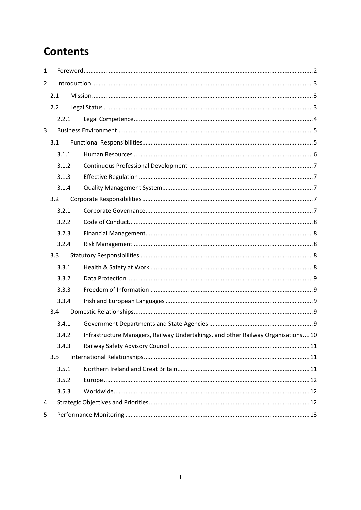# **Contents**

| $\mathbf{1}$   |     |       |  |                                                                                  |  |  |  |  |  |
|----------------|-----|-------|--|----------------------------------------------------------------------------------|--|--|--|--|--|
| $\overline{2}$ |     |       |  |                                                                                  |  |  |  |  |  |
|                | 2.1 |       |  |                                                                                  |  |  |  |  |  |
|                |     | 2.2   |  |                                                                                  |  |  |  |  |  |
|                |     | 2.2.1 |  |                                                                                  |  |  |  |  |  |
| 3              |     |       |  |                                                                                  |  |  |  |  |  |
|                | 3.1 |       |  |                                                                                  |  |  |  |  |  |
|                |     | 3.1.1 |  |                                                                                  |  |  |  |  |  |
|                |     | 3.1.2 |  |                                                                                  |  |  |  |  |  |
|                |     | 3.1.3 |  |                                                                                  |  |  |  |  |  |
|                |     | 3.1.4 |  |                                                                                  |  |  |  |  |  |
|                | 3.2 |       |  |                                                                                  |  |  |  |  |  |
|                |     | 3.2.1 |  |                                                                                  |  |  |  |  |  |
|                |     | 3.2.2 |  |                                                                                  |  |  |  |  |  |
|                |     | 3.2.3 |  |                                                                                  |  |  |  |  |  |
|                |     | 3.2.4 |  |                                                                                  |  |  |  |  |  |
|                | 3.3 |       |  |                                                                                  |  |  |  |  |  |
|                |     | 3.3.1 |  |                                                                                  |  |  |  |  |  |
|                |     | 3.3.2 |  |                                                                                  |  |  |  |  |  |
|                |     | 3.3.3 |  |                                                                                  |  |  |  |  |  |
|                |     | 3.3.4 |  |                                                                                  |  |  |  |  |  |
|                | 3.4 |       |  |                                                                                  |  |  |  |  |  |
|                |     | 3.4.1 |  |                                                                                  |  |  |  |  |  |
|                |     | 3.4.2 |  | Infrastructure Managers, Railway Undertakings, and other Railway Organisations10 |  |  |  |  |  |
|                |     | 3.4.3 |  |                                                                                  |  |  |  |  |  |
|                | 3.5 |       |  |                                                                                  |  |  |  |  |  |
|                |     | 3.5.1 |  |                                                                                  |  |  |  |  |  |
|                |     | 3.5.2 |  |                                                                                  |  |  |  |  |  |
|                |     | 3.5.3 |  |                                                                                  |  |  |  |  |  |
| 4              |     |       |  |                                                                                  |  |  |  |  |  |
| 5              |     |       |  |                                                                                  |  |  |  |  |  |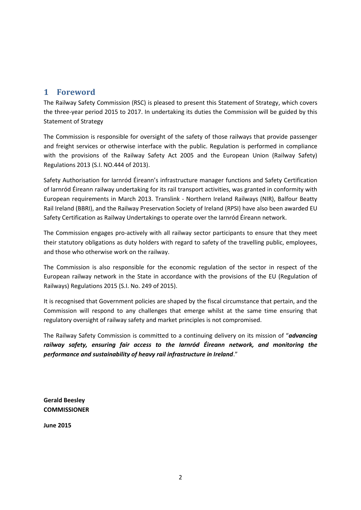# <span id="page-2-0"></span>**1 Foreword**

The Railway Safety Commission (RSC) is pleased to present this Statement of Strategy, which covers the three-year period 2015 to 2017. In undertaking its duties the Commission will be guided by this Statement of Strategy

The Commission is responsible for oversight of the safety of those railways that provide passenger and freight services or otherwise interface with the public. Regulation is performed in compliance with the provisions of the Railway Safety Act 2005 and the European Union (Railway Safety) Regulations 2013 (S.I. NO.444 of 2013).

Safety Authorisation for Iarnród Éireann's infrastructure manager functions and Safety Certification of Iarnród Éireann railway undertaking for its rail transport activities, was granted in conformity with European requirements in March 2013. Translink - Northern Ireland Railways (NIR), Balfour Beatty Rail Ireland (BBRI), and the Railway Preservation Society of Ireland (RPSI) have also been awarded EU Safety Certification as Railway Undertakings to operate over the Iarnród Éireann network.

The Commission engages pro-actively with all railway sector participants to ensure that they meet their statutory obligations as duty holders with regard to safety of the travelling public, employees, and those who otherwise work on the railway.

The Commission is also responsible for the economic regulation of the sector in respect of the European railway network in the State in accordance with the provisions of the EU (Regulation of Railways) Regulations 2015 (S.I. No. 249 of 2015).

It is recognised that Government policies are shaped by the fiscal circumstance that pertain, and the Commission will respond to any challenges that emerge whilst at the same time ensuring that regulatory oversight of railway safety and market principles is not compromised.

The Railway Safety Commission is committed to a continuing delivery on its mission of "*advancing railway safety, ensuring fair access to the Iarnród Éireann network, and monitoring the performance and sustainability of heavy rail infrastructure in Ireland*."

**Gerald Beesley COMMISSIONER**

**June 2015**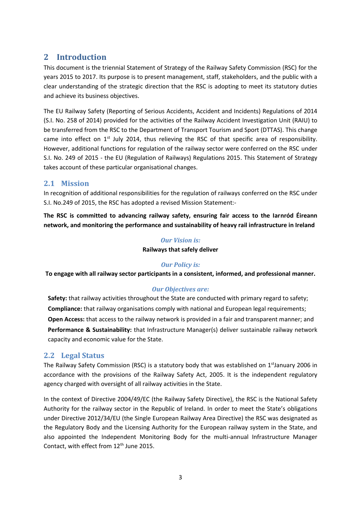# <span id="page-3-0"></span>**2 Introduction**

This document is the triennial Statement of Strategy of the Railway Safety Commission (RSC) for the years 2015 to 2017. Its purpose is to present management, staff, stakeholders, and the public with a clear understanding of the strategic direction that the RSC is adopting to meet its statutory duties and achieve its business objectives.

The EU Railway Safety (Reporting of Serious Accidents, Accident and Incidents) Regulations of 2014 (S.I. No. 258 of 2014) provided for the activities of the Railway Accident Investigation Unit (RAIU) to be transferred from the RSC to the Department of Transport Tourism and Sport (DTTAS). This change came into effect on 1<sup>st</sup> July 2014, thus relieving the RSC of that specific area of responsibility. However, additional functions for regulation of the railway sector were conferred on the RSC under S.I. No. 249 of 2015 - the EU (Regulation of Railways) Regulations 2015. This Statement of Strategy takes account of these particular organisational changes.

## <span id="page-3-1"></span>**2.1 Mission**

In recognition of additional responsibilities for the regulation of railways conferred on the RSC under S.I. No.249 of 2015, the RSC has adopted a revised Mission Statement:-

**The RSC is committed to advancing railway safety, ensuring fair access to the Iarnród Éireann network, and monitoring the performance and sustainability of heavy rail infrastructure in Ireland**

#### *Our Vision is:*

#### **Railways that safely deliver**

#### *Our Policy is:*

**To engage with all railway sector participants in a consistent, informed, and professional manner.**

#### *Our Objectives are:*

**Safety:** that railway activities throughout the State are conducted with primary regard to safety; **Compliance:** that railway organisations comply with national and European legal requirements; **Open Access:** that access to the railway network is provided in a fair and transparent manner; and **Performance & Sustainability:** that Infrastructure Manager(s) deliver sustainable railway network capacity and economic value for the State.

#### <span id="page-3-2"></span>**2.2 Legal Status**

The Railway Safety Commission (RSC) is a statutory body that was established on  $1<sup>st</sup>$ January 2006 in accordance with the provisions of the Railway Safety Act, 2005. It is the independent regulatory agency charged with oversight of all railway activities in the State.

In the context of Directive 2004/49/EC (the Railway Safety Directive), the RSC is the National Safety Authority for the railway sector in the Republic of Ireland. In order to meet the State's obligations under Directive 2012/34/EU (the Single European Railway Area Directive) the RSC was designated as the Regulatory Body and the Licensing Authority for the European railway system in the State, and also appointed the Independent Monitoring Body for the multi-annual Infrastructure Manager Contact, with effect from 12<sup>th</sup> June 2015.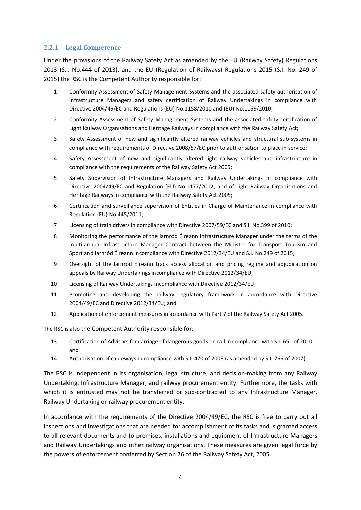#### <span id="page-4-0"></span>**2.2.1 Legal Competence**

Under the provisions of the Railway Safety Act as amended by the EU (Railway Safety) Regulations 2013 (S.I. No.444 of 2013), and the EU (Regulation of Railways) Regulations 2015 (S.I. No. 249 of 2015) the RSC is the Competent Authority responsible for:

- 1. Conformity Assessment of Safety Management Systems and the associated safety authorisation of Infrastructure Managers and safety certification of Railway Undertakings in compliance with Directive 2004/49/EC and Regulations (EU) No.1158/2010 and (EU) No.1169/2010;
- 2. Conformity Assessment of Safety Management Systems and the associated safety certification of Light Railway Organisations and Heritage Railways in compliance with the Railway Safety Act;
- 3. Safety Assessment of new and significantly altered railway vehicles and structural sub-systems in compliance with requirements of Directive 2008/57/EC prior to authorisation to place in service;
- 4. Safety Assessment of new and significantly altered light railway vehicles and infrastructure in compliance with the requirements of the Railway Safety Act 2005;
- 5. Safety Supervision of Infrastructure Managers and Railway Undertakings in compliance with Directive 2004/49/EC and Regulation (EU) No.1177/2012, and of Light Railway Organisations and Heritage Railways in compliance with the Railway Safety Act 2005;
- 6. Certification and surveillance supervision of Entities in Charge of Maintenance in compliance with Regulation (EU) No.445/2011;
- 7. Licensing of train drivers in compliance with Directive 2007/59/EC and S.I. No.399 of 2010;
- 8. Monitoring the performance of the Iarnród Éireann Infrastructure Manager under the terms of the multi-annual Infrastructure Manager Contract between the Minister for Transport Tourism and Sport and Iarnród Éireann incompliance with Directive 2012/34/EU and S.I. No.249 of 2015;
- 9. Oversight of the Iarnród Éireann track access allocation and pricing regime and adjudication on appeals by Railway Undertakings incompliance with Directive 2012/34/EU;
- 10. Licensing of Railway Undertakings incompliance with Directive 2012/34/EU;
- 11. Promoting and developing the railway regulatory framework in accordance with Directive 2004/49/EC and Directive 2012/34/EU; and
- 12. Application of enforcement measures in accordance with Part 7 of the Railway Safety Act 2005.

The RSC is also the Competent Authority responsible for:

- 13. Certification of Advisors for carriage of dangerous goods on rail in compliance with S.I. 651 of 2010; and
- 14. Authorisation of cableways in compliance with S.I. 470 of 2003 (as amended by S.I. 766 of 2007).

The RSC is independent in its organisation, legal structure, and decision-making from any Railway Undertaking, Infrastructure Manager, and railway procurement entity. Furthermore, the tasks with which it is entrusted may not be transferred or sub-contracted to any Infrastructure Manager, Railway Undertaking or railway procurement entity.

In accordance with the requirements of the Directive 2004/49/EC, the RSC is free to carry out all inspections and investigations that are needed for accomplishment of its tasks and is granted access to all relevant documents and to premises, installations and equipment of Infrastructure Managers and Railway Undertakings and other railway organisations. These measures are given legal force by the powers of enforcement conferred by Section 76 of the Railway Safety Act, 2005.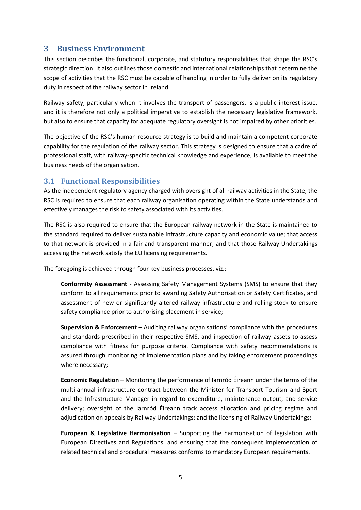# <span id="page-5-0"></span>**3 Business Environment**

This section describes the functional, corporate, and statutory responsibilities that shape the RSC's strategic direction. It also outlines those domestic and international relationships that determine the scope of activities that the RSC must be capable of handling in order to fully deliver on its regulatory duty in respect of the railway sector in Ireland.

Railway safety, particularly when it involves the transport of passengers, is a public interest issue, and it is therefore not only a political imperative to establish the necessary legislative framework, but also to ensure that capacity for adequate regulatory oversight is not impaired by other priorities.

The objective of the RSC's human resource strategy is to build and maintain a competent corporate capability for the regulation of the railway sector. This strategy is designed to ensure that a cadre of professional staff, with railway-specific technical knowledge and experience, is available to meet the business needs of the organisation.

## <span id="page-5-1"></span>**3.1 Functional Responsibilities**

As the independent regulatory agency charged with oversight of all railway activities in the State, the RSC is required to ensure that each railway organisation operating within the State understands and effectively manages the risk to safety associated with its activities.

The RSC is also required to ensure that the European railway network in the State is maintained to the standard required to deliver sustainable infrastructure capacity and economic value; that access to that network is provided in a fair and transparent manner; and that those Railway Undertakings accessing the network satisfy the EU licensing requirements.

The foregoing is achieved through four key business processes, viz.:

**Conformity Assessment** - Assessing Safety Management Systems (SMS) to ensure that they conform to all requirements prior to awarding Safety Authorisation or Safety Certificates, and assessment of new or significantly altered railway infrastructure and rolling stock to ensure safety compliance prior to authorising placement in service;

**Supervision & Enforcement** – Auditing railway organisations' compliance with the procedures and standards prescribed in their respective SMS, and inspection of railway assets to assess compliance with fitness for purpose criteria. Compliance with safety recommendations is assured through monitoring of implementation plans and by taking enforcement proceedings where necessary;

**Economic Regulation** – Monitoring the performance of Iarnród Éireann under the terms of the multi-annual infrastructure contract between the Minister for Transport Tourism and Sport and the Infrastructure Manager in regard to expenditure, maintenance output, and service delivery; oversight of the Iarnród Éireann track access allocation and pricing regime and adjudication on appeals by Railway Undertakings; and the licensing of Railway Undertakings;

**European & Legislative Harmonisation** – Supporting the harmonisation of legislation with European Directives and Regulations, and ensuring that the consequent implementation of related technical and procedural measures conforms to mandatory European requirements.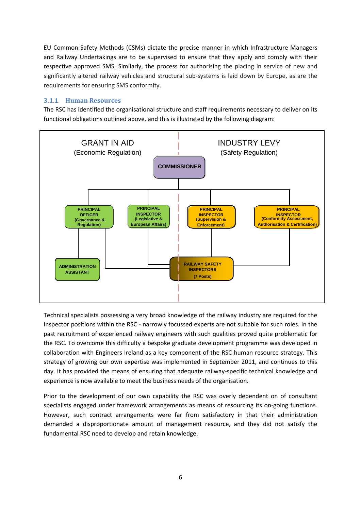EU Common Safety Methods (CSMs) dictate the precise manner in which Infrastructure Managers and Railway Undertakings are to be supervised to ensure that they apply and comply with their respective approved SMS. Similarly, the process for authorising the placing in service of new and significantly altered railway vehicles and structural sub-systems is laid down by Europe, as are the requirements for ensuring SMS conformity.

#### <span id="page-6-0"></span>**3.1.1 Human Resources**

The RSC has identified the organisational structure and staff requirements necessary to deliver on its functional obligations outlined above, and this is illustrated by the following diagram:



Technical specialists possessing a very broad knowledge of the railway industry are required for the Inspector positions within the RSC - narrowly focussed experts are not suitable for such roles. In the past recruitment of experienced railway engineers with such qualities proved quite problematic for the RSC. To overcome this difficulty a bespoke graduate development programme was developed in collaboration with Engineers Ireland as a key component of the RSC human resource strategy. This strategy of growing our own expertise was implemented in September 2011, and continues to this day. It has provided the means of ensuring that adequate railway-specific technical knowledge and experience is now available to meet the business needs of the organisation.

Prior to the development of our own capability the RSC was overly dependent on of consultant specialists engaged under framework arrangements as means of resourcing its on-going functions. However, such contract arrangements were far from satisfactory in that their administration demanded a disproportionate amount of management resource, and they did not satisfy the fundamental RSC need to develop and retain knowledge.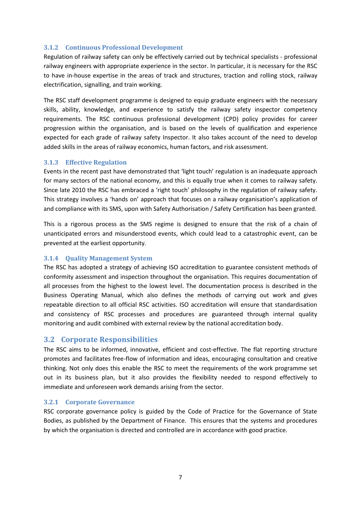#### <span id="page-7-0"></span>**3.1.2 Continuous Professional Development**

Regulation of railway safety can only be effectively carried out by technical specialists - professional railway engineers with appropriate experience in the sector. In particular, it is necessary for the RSC to have in-house expertise in the areas of track and structures, traction and rolling stock, railway electrification, signalling, and train working.

The RSC staff development programme is designed to equip graduate engineers with the necessary skills, ability, knowledge, and experience to satisfy the railway safety inspector competency requirements. The RSC continuous professional development (CPD) policy provides for career progression within the organisation, and is based on the levels of qualification and experience expected for each grade of railway safety Inspector. It also takes account of the need to develop added skills in the areas of railway economics, human factors, and risk assessment.

#### <span id="page-7-1"></span>**3.1.3 Effective Regulation**

Events in the recent past have demonstrated that 'light touch' regulation is an inadequate approach for many sectors of the national economy, and this is equally true when it comes to railway safety. Since late 2010 the RSC has embraced a 'right touch' philosophy in the regulation of railway safety. This strategy involves a 'hands on' approach that focuses on a railway organisation's application of and compliance with its SMS, upon with Safety Authorisation / Safety Certification has been granted.

This is a rigorous process as the SMS regime is designed to ensure that the risk of a chain of unanticipated errors and misunderstood events, which could lead to a catastrophic event, can be prevented at the earliest opportunity.

#### <span id="page-7-2"></span>**3.1.4 Quality Management System**

The RSC has adopted a strategy of achieving ISO accreditation to guarantee consistent methods of conformity assessment and inspection throughout the organisation. This requires documentation of all processes from the highest to the lowest level. The documentation process is described in the Business Operating Manual, which also defines the methods of carrying out work and gives repeatable direction to all official RSC activities. ISO accreditation will ensure that standardisation and consistency of RSC processes and procedures are guaranteed through internal quality monitoring and audit combined with external review by the national accreditation body.

#### <span id="page-7-3"></span>**3.2 Corporate Responsibilities**

The RSC aims to be informed, innovative, efficient and cost-effective. The flat reporting structure promotes and facilitates free-flow of information and ideas, encouraging consultation and creative thinking. Not only does this enable the RSC to meet the requirements of the work programme set out in its business plan, but it also provides the flexibility needed to respond effectively to immediate and unforeseen work demands arising from the sector.

#### <span id="page-7-4"></span>**3.2.1 Corporate Governance**

RSC corporate governance policy is guided by the Code of Practice for the Governance of State Bodies, as published by the Department of Finance. This ensures that the systems and procedures by which the organisation is directed and controlled are in accordance with good practice.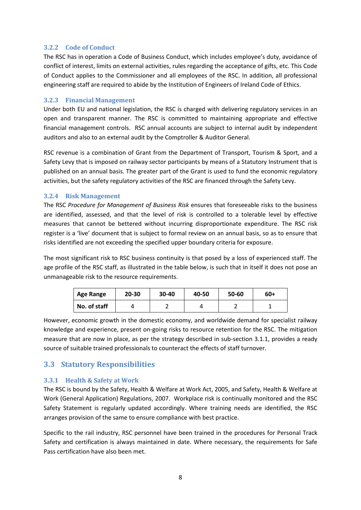#### <span id="page-8-0"></span>**3.2.2 Code of Conduct**

The RSC has in operation a Code of Business Conduct, which includes employee's duty, avoidance of conflict of interest, limits on external activities, rules regarding the acceptance of gifts, etc. This Code of Conduct applies to the Commissioner and all employees of the RSC. In addition, all professional engineering staff are required to abide by the Institution of Engineers of Ireland Code of Ethics.

#### <span id="page-8-1"></span>**3.2.3 Financial Management**

Under both EU and national legislation, the RSC is charged with delivering regulatory services in an open and transparent manner. The RSC is committed to maintaining appropriate and effective financial management controls. RSC annual accounts are subject to internal audit by independent auditors and also to an external audit by the Comptroller & Auditor General.

RSC revenue is a combination of Grant from the Department of Transport, Tourism & Sport, and a Safety Levy that is imposed on railway sector participants by means of a Statutory Instrument that is published on an annual basis. The greater part of the Grant is used to fund the economic regulatory activities, but the safety regulatory activities of the RSC are financed through the Safety Levy.

#### <span id="page-8-2"></span>**3.2.4 Risk Management**

The RSC *Procedure for Management of Business Risk* ensures that foreseeable risks to the business are identified, assessed, and that the level of risk is controlled to a tolerable level by effective measures that cannot be bettered without incurring disproportionate expenditure. The RSC risk register is a 'live' document that is subject to formal review on an annual basis, so as to ensure that risks identified are not exceeding the specified upper boundary criteria for exposure.

The most significant risk to RSC business continuity is that posed by a loss of experienced staff. The age profile of the RSC staff, as illustrated in the table below, is such that in itself it does not pose an unmanageable risk to the resource requirements.

| <b>Age Range</b> | 20-30 | $30 - 40$ | 40-50 | 50-60 | $60+$ |
|------------------|-------|-----------|-------|-------|-------|
| No. of staff     |       |           |       |       |       |

However, economic growth in the domestic economy, and worldwide demand for specialist railway knowledge and experience, present on-going risks to resource retention for the RSC. The mitigation measure that are now in place, as per the strategy described in sub-section 3.1.1, provides a ready source of suitable trained professionals to counteract the effects of staff turnover.

# <span id="page-8-3"></span>**3.3 Statutory Responsibilities**

#### <span id="page-8-4"></span>**3.3.1 Health & Safety at Work**

The RSC is bound by the Safety, Health & Welfare at Work Act, 2005, and Safety, Health & Welfare at Work (General Application) Regulations, 2007. Workplace risk is continually monitored and the RSC Safety Statement is regularly updated accordingly. Where training needs are identified, the RSC arranges provision of the same to ensure compliance with best practice.

Specific to the rail industry, RSC personnel have been trained in the procedures for Personal Track Safety and certification is always maintained in date. Where necessary, the requirements for Safe Pass certification have also been met.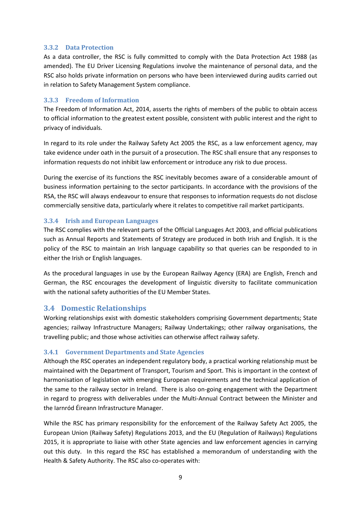#### <span id="page-9-0"></span>**3.3.2 Data Protection**

As a data controller, the RSC is fully committed to comply with the Data Protection Act 1988 (as amended). The EU Driver Licensing Regulations involve the maintenance of personal data, and the RSC also holds private information on persons who have been interviewed during audits carried out in relation to Safety Management System compliance.

#### <span id="page-9-1"></span>**3.3.3 Freedom of Information**

The Freedom of Information Act, 2014, asserts the rights of members of the public to obtain access to official information to the greatest extent possible, consistent with public interest and the right to privacy of individuals.

In regard to its role under the Railway Safety Act 2005 the RSC, as a law enforcement agency, may take evidence under oath in the pursuit of a prosecution. The RSC shall ensure that any responses to information requests do not inhibit law enforcement or introduce any risk to due process.

During the exercise of its functions the RSC inevitably becomes aware of a considerable amount of business information pertaining to the sector participants. In accordance with the provisions of the RSA, the RSC will always endeavour to ensure that responses to information requests do not disclose commercially sensitive data, particularly where it relates to competitive rail market participants.

#### <span id="page-9-2"></span>**3.3.4 Irish and European Languages**

The RSC complies with the relevant parts of the Official Languages Act 2003, and official publications such as Annual Reports and Statements of Strategy are produced in both Irish and English. It is the policy of the RSC to maintain an Irish language capability so that queries can be responded to in either the Irish or English languages.

As the procedural languages in use by the European Railway Agency (ERA) are English, French and German, the RSC encourages the development of linguistic diversity to facilitate communication with the national safety authorities of the EU Member States.

#### <span id="page-9-3"></span>**3.4 Domestic Relationships**

Working relationships exist with domestic stakeholders comprising Government departments; State agencies; railway Infrastructure Managers; Railway Undertakings; other railway organisations, the travelling public; and those whose activities can otherwise affect railway safety.

#### <span id="page-9-4"></span>**3.4.1 Government Departments and State Agencies**

Although the RSC operates an independent regulatory body, a practical working relationship must be maintained with the Department of Transport, Tourism and Sport. This is important in the context of harmonisation of legislation with emerging European requirements and the technical application of the same to the railway sector in Ireland. There is also on-going engagement with the Department in regard to progress with deliverables under the Multi-Annual Contract between the Minister and the Iarnród Éireann Infrastructure Manager.

While the RSC has primary responsibility for the enforcement of the Railway Safety Act 2005, the European Union (Railway Safety) Regulations 2013, and the EU (Regulation of Railways) Regulations 2015, it is appropriate to liaise with other State agencies and law enforcement agencies in carrying out this duty. In this regard the RSC has established a memorandum of understanding with the Health & Safety Authority. The RSC also co-operates with: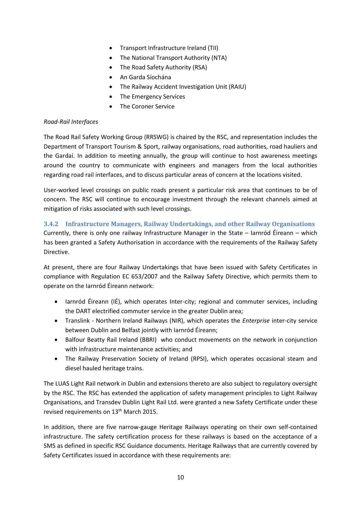- Transport Infrastructure Ireland (TII)
- The National Transport Authority (NTA)
- The Road Safety Authority (RSA)
- An Garda Síochána
- The Railway Accident Investigation Unit (RAIU)
- The Emergency Services
- The Coroner Service

#### *Road-Rail Interfaces*

The Road Rail Safety Working Group (RRSWG) is chaired by the RSC, and representation includes the Department of Transport Tourism & Sport, railway organisations, road authorities, road hauliers and the Gardaí. In addition to meeting annually, the group will continue to host awareness meetings around the country to communicate with engineers and managers from the local authorities regarding road rail interfaces, and to discuss particular areas of concern at the locations visited.

User-worked level crossings on public roads present a particular risk area that continues to be of concern. The RSC will continue to encourage investment through the relevant channels aimed at mitigation of risks associated with such level crossings.

#### <span id="page-10-0"></span>**3.4.2 Infrastructure Managers, Railway Undertakings, and other Railway Organisations**

Currently, there is only one railway Infrastructure Manager in the State – Iarnród Éireann – which has been granted a Safety Authorisation in accordance with the requirements of the Railway Safety Directive.

At present, there are four Railway Undertakings that have been issued with Safety Certificates in compliance with Regulation EC 653/2007 and the Railway Safety Directive, which permits them to operate on the Iarnród Éireann network:

- Iarnród Éireann (IÉ), which operates Inter-city; regional and commuter services, including the DART electrified commuter service in the greater Dublin area;
- Translink Northern Ireland Railways (NIR), which operates the *Enterprise* inter-city service between Dublin and Belfast jointly with Iarnród Éireann;
- Balfour Beatty Rail Ireland (BBRI) who conduct movements on the network in conjunction with infrastructure maintenance activities; and
- The Railway Preservation Society of Ireland (RPSI), which operates occasional steam and diesel hauled heritage trains.

The LUAS Light Rail network in Dublin and extensions thereto are also subject to regulatory oversight by the RSC. The RSC has extended the application of safety management principles to Light Railway Organisations, and Transdev Dublin Light Rail Ltd. were granted a new Safety Certificate under these revised requirements on 13<sup>th</sup> March 2015.

In addition, there are five narrow-gauge Heritage Railways operating on their own self-contained infrastructure. The safety certification process for these railways is based on the acceptance of a SMS as defined in specific RSC Guidance documents. Heritage Railways that are currently covered by Safety Certificates issued in accordance with these requirements are: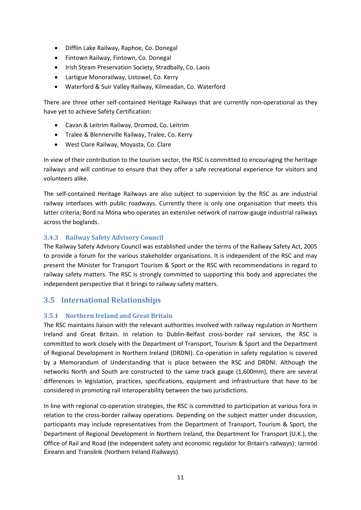- Difflin Lake Railway, Raphoe, Co. Donegal
- Fintown Railway, Fintown, Co. Donegal
- Irish Steam Preservation Society, Stradbally, Co. Laois
- Lartigue Monorailway, Listowel, Co. Kerry
- Waterford & Suir Valley Railway, Kilmeadan, Co. Waterford

There are three other self-contained Heritage Railways that are currently non-operational as they have yet to achieve Safety Certification:

- Cavan & Leitrim Railway, Dromod, Co. Leitrim
- Tralee & Blennerville Railway, Tralee, Co. Kerry
- West Clare Railway, Moyasta, Co. Clare

In view of their contribution to the tourism sector, the RSC is committed to encouraging the heritage railways and will continue to ensure that they offer a safe recreational experience for visitors and volunteers alike.

The self-contained Heritage Railways are also subject to supervision by the RSC as are industrial railway interfaces with public roadways. Currently there is only one organisation that meets this latter criteria; Bord na Móna who operates an extensive network of narrow-gauge industrial railways across the boglands.

#### <span id="page-11-0"></span>**3.4.3 Railway Safety Advisory Council**

The Railway Safety Advisory Council was established under the terms of the Railway Safety Act, 2005 to provide a forum for the various stakeholder organisations. It is independent of the RSC and may present the Minister for Transport Tourism & Sport or the RSC with recommendations in regard to railway safety matters. The RSC is strongly committed to supporting this body and appreciates the independent perspective that it brings to railway safety matters.

# <span id="page-11-1"></span>**3.5 International Relationships**

#### <span id="page-11-2"></span>**3.5.1 Northern Ireland and Great Britain**

The RSC maintains liaison with the relevant authorities involved with railway regulation in Northern Ireland and Great Britain. In relation to Dublin-Belfast cross-border rail services, the RSC is committed to work closely with the Department of Transport, Tourism & Sport and the Department of Regional Development in Northern Ireland (DRDNI). Co-operation in safety regulation is covered by a Memorandum of Understanding that is place between the RSC and DRDNI. Although the networks North and South are constructed to the same track gauge (1,600mm), there are several differences in legislation, practices, specifications, equipment and infrastructure that have to be considered in promoting rail interoperability between the two jurisdictions.

In line with regional co-operation strategies, the RSC is committed to participation at various fora in relation to the cross-border railway operations. Depending on the subject matter under discussion, participants may include representatives from the Department of Transport, Tourism & Sport, the Department of Regional Development in Northern Ireland, the Department for Transport (U.K.), the Office of Rail and Road (the independent safety and economic regulator for Britain's railways); Iarnród Éireann and Translink (Northern Ireland Railways).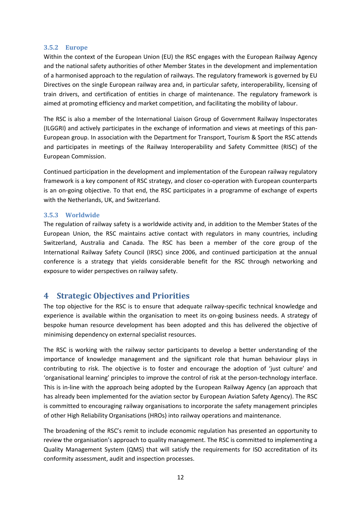#### <span id="page-12-0"></span>**3.5.2 Europe**

Within the context of the European Union (EU) the RSC engages with the European Railway Agency and the national safety authorities of other Member States in the development and implementation of a harmonised approach to the regulation of railways. The regulatory framework is governed by EU Directives on the single European railway area and, in particular safety, interoperability, licensing of train drivers, and certification of entities in charge of maintenance. The regulatory framework is aimed at promoting efficiency and market competition, and facilitating the mobility of labour.

The RSC is also a member of the International Liaison Group of Government Railway Inspectorates (ILGGRI) and actively participates in the exchange of information and views at meetings of this pan-European group. In association with the Department for Transport, Tourism & Sport the RSC attends and participates in meetings of the Railway Interoperability and Safety Committee (RISC) of the European Commission.

Continued participation in the development and implementation of the European railway regulatory framework is a key component of RSC strategy, and closer co-operation with European counterparts is an on-going objective. To that end, the RSC participates in a programme of exchange of experts with the Netherlands, UK, and Switzerland.

#### <span id="page-12-1"></span>**3.5.3 Worldwide**

The regulation of railway safety is a worldwide activity and, in addition to the Member States of the European Union, the RSC maintains active contact with regulators in many countries, including Switzerland, Australia and Canada. The RSC has been a member of the core group of the International Railway Safety Council (IRSC) since 2006, and continued participation at the annual conference is a strategy that yields considerable benefit for the RSC through networking and exposure to wider perspectives on railway safety.

# <span id="page-12-2"></span>**4 Strategic Objectives and Priorities**

The top objective for the RSC is to ensure that adequate railway-specific technical knowledge and experience is available within the organisation to meet its on-going business needs. A strategy of bespoke human resource development has been adopted and this has delivered the objective of minimising dependency on external specialist resources.

The RSC is working with the railway sector participants to develop a better understanding of the importance of knowledge management and the significant role that human behaviour plays in contributing to risk. The objective is to foster and encourage the adoption of 'just culture' and 'organisational learning' principles to improve the control of risk at the person-technology interface. This is in-line with the approach being adopted by the European Railway Agency (an approach that has already been implemented for the aviation sector by European Aviation Safety Agency). The RSC is committed to encouraging railway organisations to incorporate the safety management principles of other High Reliability Organisations (HROs) into railway operations and maintenance.

The broadening of the RSC's remit to include economic regulation has presented an opportunity to review the organisation's approach to quality management. The RSC is committed to implementing a Quality Management System (QMS) that will satisfy the requirements for ISO accreditation of its conformity assessment, audit and inspection processes.